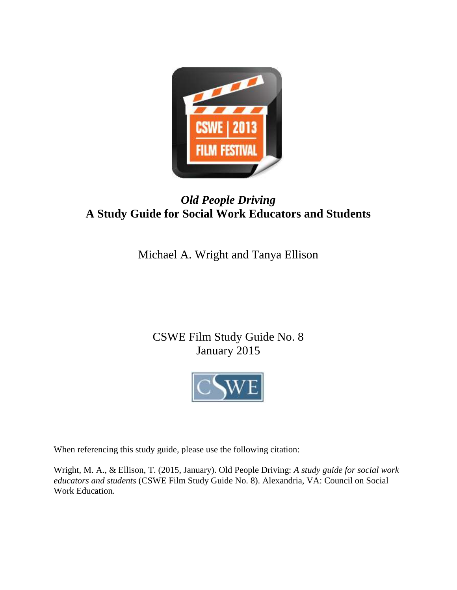

# *Old People Driving* **A Study Guide for Social Work Educators and Students**

Michael A. Wright and Tanya Ellison

# CSWE Film Study Guide No. 8 January 2015



When referencing this study guide, please use the following citation:

Wright, M. A., & Ellison, T. (2015, January). Old People Driving: *A study guide for social work educators and students* (CSWE Film Study Guide No. 8). Alexandria, VA: Council on Social Work Education.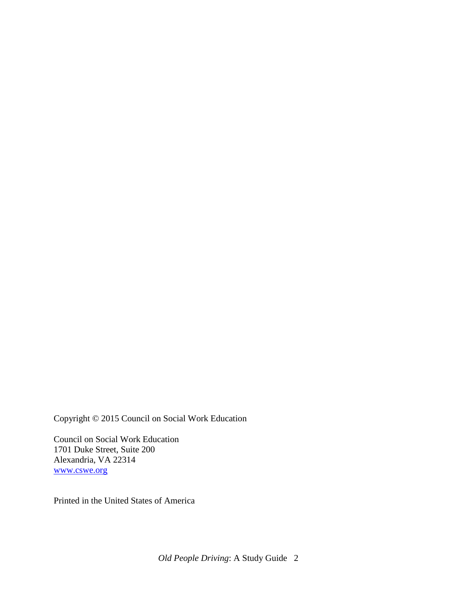Copyright © 2015 Council on Social Work Education

Council on Social Work Education 1701 Duke Street, Suite 200 Alexandria, VA 22314 [www.cswe.org](http://www.cswe.org/)

Printed in the United States of America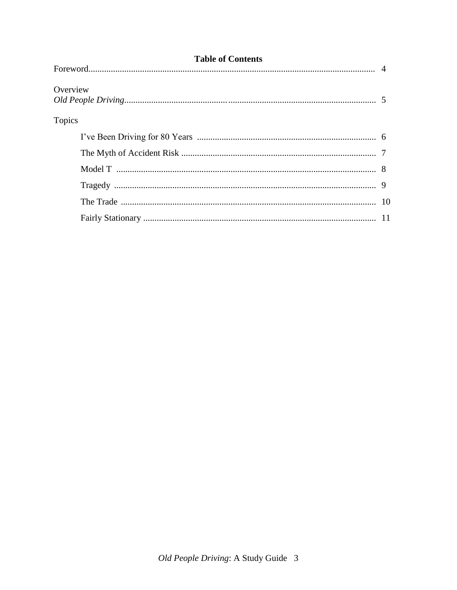| <b>Table of Contents</b> |  |  |  |  |
|--------------------------|--|--|--|--|
|                          |  |  |  |  |
| Overview                 |  |  |  |  |
| <b>Topics</b>            |  |  |  |  |
|                          |  |  |  |  |
|                          |  |  |  |  |
|                          |  |  |  |  |
|                          |  |  |  |  |
|                          |  |  |  |  |
|                          |  |  |  |  |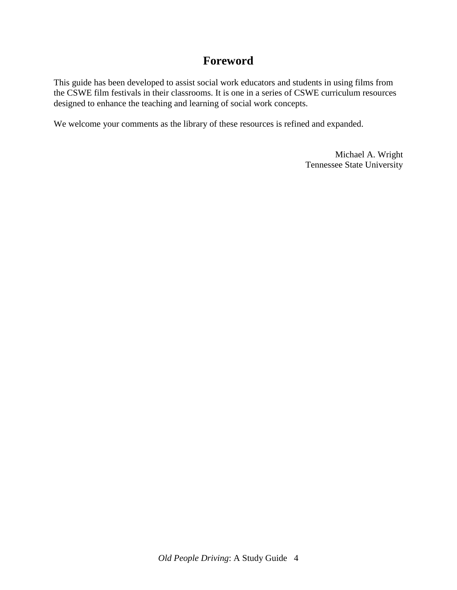## **Foreword**

This guide has been developed to assist social work educators and students in using films from the CSWE film festivals in their classrooms. It is one in a series of CSWE curriculum resources designed to enhance the teaching and learning of social work concepts.

We welcome your comments as the library of these resources is refined and expanded.

Michael A. Wright Tennessee State University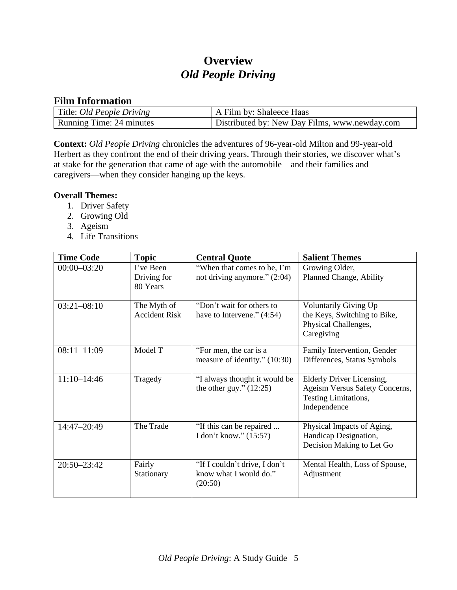# **Overview** *Old People Driving*

## **Film Information**

| Title: <i>Old People Driving</i> | A Film by: Shaleece Haas                      |
|----------------------------------|-----------------------------------------------|
| Running Time: 24 minutes         | Distributed by: New Day Films, www.newday.com |

**Context:** *Old People Driving* chronicles the adventures of 96-year-old Milton and 99-year-old Herbert as they confront the end of their driving years. Through their stories, we discover what's at stake for the generation that came of age with the automobile—and their families and caregivers—when they consider hanging up the keys.

#### **Overall Themes:**

- 1. Driver Safety
- 2. Growing Old
- 3. Ageism
- 4. Life Transitions

| <b>Time Code</b> | <b>Topic</b>                         | <b>Central Quote</b>                                               | <b>Salient Themes</b>                                                                               |
|------------------|--------------------------------------|--------------------------------------------------------------------|-----------------------------------------------------------------------------------------------------|
| $00:00 - 03:20$  | I've Been<br>Driving for<br>80 Years | "When that comes to be, I'm<br>not driving anymore." $(2:04)$      | Growing Older,<br>Planned Change, Ability                                                           |
| $03:21-08:10$    | The Myth of<br><b>Accident Risk</b>  | "Don't wait for others to<br>have to Intervene." $(4:54)$          | <b>Voluntarily Giving Up</b><br>the Keys, Switching to Bike,<br>Physical Challenges,<br>Caregiving  |
| $08:11 - 11:09$  | Model T                              | "For men, the car is a<br>measure of identity." (10:30)            | Family Intervention, Gender<br>Differences, Status Symbols                                          |
| $11:10-14:46$    | Tragedy                              | "I always thought it would be<br>the other guy." $(12:25)$         | Elderly Driver Licensing,<br>Ageism Versus Safety Concerns,<br>Testing Limitations,<br>Independence |
| 14:47-20:49      | The Trade                            | "If this can be repaired<br>I don't know." (15:57)                 | Physical Impacts of Aging,<br>Handicap Designation,<br>Decision Making to Let Go                    |
| 20:50-23:42      | Fairly<br>Stationary                 | "If I couldn't drive, I don't<br>know what I would do."<br>(20:50) | Mental Health, Loss of Spouse,<br>Adjustment                                                        |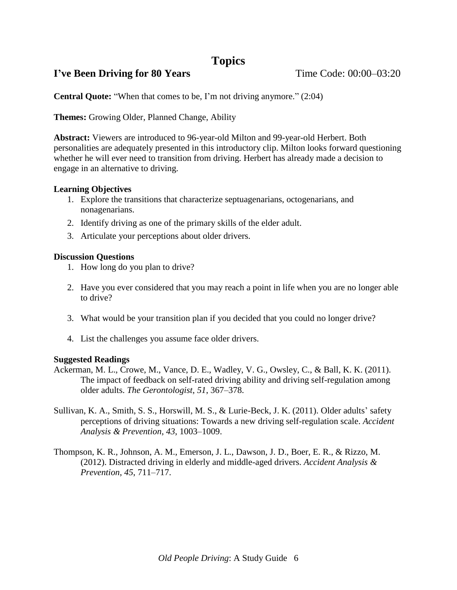## **Topics**

## **I've Been Driving for 80 Years** Time Code: 00:00–03:20

**Central Quote:** "When that comes to be, I'm not driving anymore." (2:04)

**Themes:** Growing Older, Planned Change, Ability

**Abstract:** Viewers are introduced to 96-year-old Milton and 99-year-old Herbert. Both personalities are adequately presented in this introductory clip. Milton looks forward questioning whether he will ever need to transition from driving. Herbert has already made a decision to engage in an alternative to driving.

### **Learning Objectives**

- 1. Explore the transitions that characterize septuagenarians, octogenarians, and nonagenarians.
- 2. Identify driving as one of the primary skills of the elder adult.
- 3. Articulate your perceptions about older drivers.

### **Discussion Questions**

- 1. How long do you plan to drive?
- 2. Have you ever considered that you may reach a point in life when you are no longer able to drive?
- 3. What would be your transition plan if you decided that you could no longer drive?
- 4. List the challenges you assume face older drivers.

- Ackerman, M. L., Crowe, M., Vance, D. E., Wadley, V. G., Owsley, C., & Ball, K. K. (2011). The impact of feedback on self-rated driving ability and driving self-regulation among older adults. *The Gerontologist*, *51*, 367–378.
- Sullivan, K. A., Smith, S. S., Horswill, M. S., & Lurie-Beck, J. K. (2011). Older adults' safety perceptions of driving situations: Towards a new driving self-regulation scale. *Accident Analysis & Prevention*, *43*, 1003–1009.
- Thompson, K. R., Johnson, A. M., Emerson, J. L., Dawson, J. D., Boer, E. R., & Rizzo, M. (2012). Distracted driving in elderly and middle-aged drivers. *Accident Analysis & Prevention*, *45*, 711–717.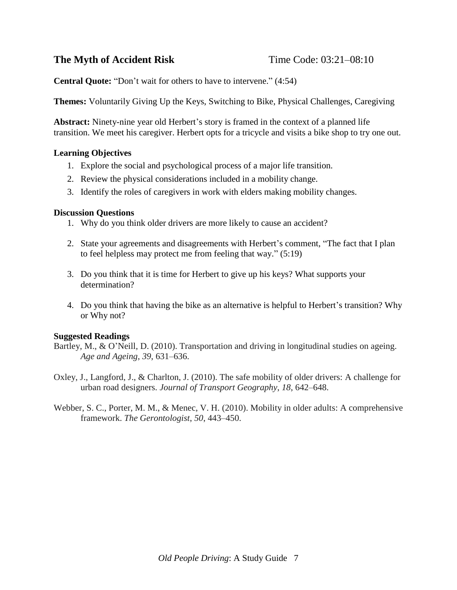## **The Myth of Accident Risk** Time Code: 03:21–08:10

**Central Quote:** "Don't wait for others to have to intervene." (4:54)

**Themes:** Voluntarily Giving Up the Keys, Switching to Bike, Physical Challenges, Caregiving

**Abstract:** Ninety-nine year old Herbert's story is framed in the context of a planned life transition. We meet his caregiver. Herbert opts for a tricycle and visits a bike shop to try one out.

### **Learning Objectives**

- 1. Explore the social and psychological process of a major life transition.
- 2. Review the physical considerations included in a mobility change.
- 3. Identify the roles of caregivers in work with elders making mobility changes.

#### **Discussion Questions**

- 1. Why do you think older drivers are more likely to cause an accident?
- 2. State your agreements and disagreements with Herbert's comment, "The fact that I plan to feel helpless may protect me from feeling that way." (5:19)
- 3. Do you think that it is time for Herbert to give up his keys? What supports your determination?
- 4. Do you think that having the bike as an alternative is helpful to Herbert's transition? Why or Why not?

- Bartley, M., & O'Neill, D. (2010). Transportation and driving in longitudinal studies on ageing. *Age and Ageing*, *39*, 631–636.
- Oxley, J., Langford, J., & Charlton, J. (2010). The safe mobility of older drivers: A challenge for urban road designers. *Journal of Transport Geography*, *18*, 642–648.
- Webber, S. C., Porter, M. M., & Menec, V. H. (2010). Mobility in older adults: A comprehensive framework. *The Gerontologist*, *50*, 443–450.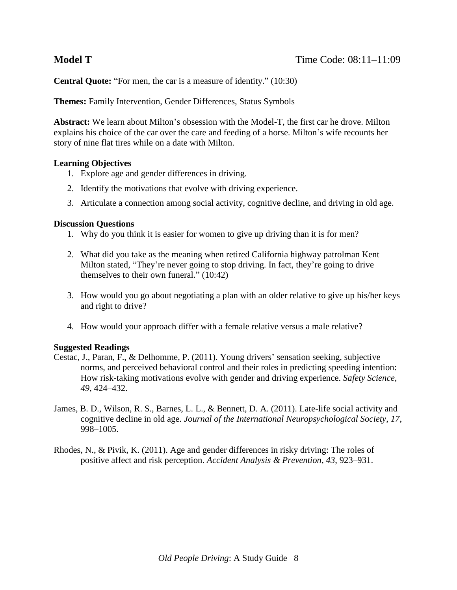**Central Quote:** "For men, the car is a measure of identity." (10:30)

**Themes:** Family Intervention, Gender Differences, Status Symbols

**Abstract:** We learn about Milton's obsession with the Model-T, the first car he drove. Milton explains his choice of the car over the care and feeding of a horse. Milton's wife recounts her story of nine flat tires while on a date with Milton.

#### **Learning Objectives**

- 1. Explore age and gender differences in driving.
- 2. Identify the motivations that evolve with driving experience.
- 3. Articulate a connection among social activity, cognitive decline, and driving in old age.

#### **Discussion Questions**

- 1. Why do you think it is easier for women to give up driving than it is for men?
- 2. What did you take as the meaning when retired California highway patrolman Kent Milton stated, "They're never going to stop driving. In fact, they're going to drive themselves to their own funeral." (10:42)
- 3. How would you go about negotiating a plan with an older relative to give up his/her keys and right to drive?
- 4. How would your approach differ with a female relative versus a male relative?

- Cestac, J., Paran, F., & Delhomme, P. (2011). Young drivers' sensation seeking, subjective norms, and perceived behavioral control and their roles in predicting speeding intention: How risk-taking motivations evolve with gender and driving experience. *Safety Science*, *49*, 424–432.
- James, B. D., Wilson, R. S., Barnes, L. L., & Bennett, D. A. (2011). Late-life social activity and cognitive decline in old age. *Journal of the International Neuropsychological Society*, *17*, 998–1005.
- Rhodes, N., & Pivik, K. (2011). Age and gender differences in risky driving: The roles of positive affect and risk perception. *Accident Analysis & Prevention*, *43*, 923–931.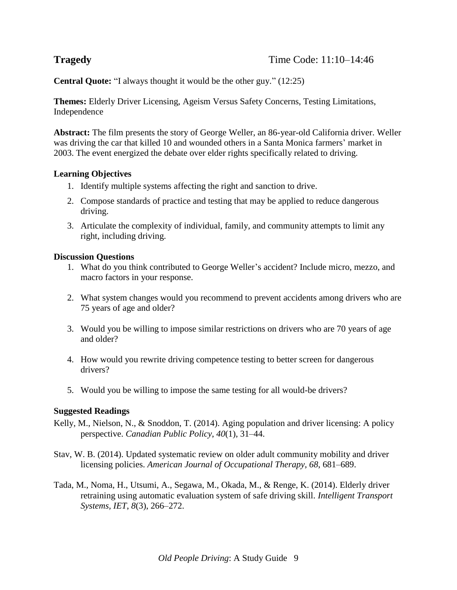**Central Quote:** "I always thought it would be the other guy." (12:25)

**Themes:** Elderly Driver Licensing, Ageism Versus Safety Concerns, Testing Limitations, Independence

**Abstract:** The film presents the story of George Weller, an 86-year-old California driver. Weller was driving the car that killed 10 and wounded others in a Santa Monica farmers' market in 2003. The event energized the debate over elder rights specifically related to driving.

#### **Learning Objectives**

- 1. Identify multiple systems affecting the right and sanction to drive.
- 2. Compose standards of practice and testing that may be applied to reduce dangerous driving.
- 3. Articulate the complexity of individual, family, and community attempts to limit any right, including driving.

#### **Discussion Questions**

- 1. What do you think contributed to George Weller's accident? Include micro, mezzo, and macro factors in your response.
- 2. What system changes would you recommend to prevent accidents among drivers who are 75 years of age and older?
- 3. Would you be willing to impose similar restrictions on drivers who are 70 years of age and older?
- 4. How would you rewrite driving competence testing to better screen for dangerous drivers?
- 5. Would you be willing to impose the same testing for all would-be drivers?

- Kelly, M., Nielson, N., & Snoddon, T. (2014). Aging population and driver licensing: A policy perspective. *Canadian Public Policy*, *40*(1), 31–44.
- Stav, W. B. (2014). Updated systematic review on older adult community mobility and driver licensing policies. *American Journal of Occupational Therapy*, *68*, 681–689.
- Tada, M., Noma, H., Utsumi, A., Segawa, M., Okada, M., & Renge, K. (2014). Elderly driver retraining using automatic evaluation system of safe driving skill. *Intelligent Transport Systems, IET*, *8*(3), 266–272.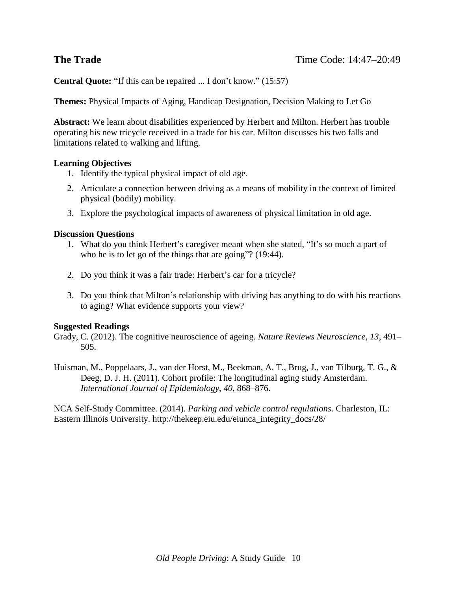**Central Quote:** "If this can be repaired ... I don't know." (15:57)

**Themes:** Physical Impacts of Aging, Handicap Designation, Decision Making to Let Go

**Abstract:** We learn about disabilities experienced by Herbert and Milton. Herbert has trouble operating his new tricycle received in a trade for his car. Milton discusses his two falls and limitations related to walking and lifting.

### **Learning Objectives**

- 1. Identify the typical physical impact of old age.
- 2. Articulate a connection between driving as a means of mobility in the context of limited physical (bodily) mobility.
- 3. Explore the psychological impacts of awareness of physical limitation in old age.

#### **Discussion Questions**

- 1. What do you think Herbert's caregiver meant when she stated, "It's so much a part of who he is to let go of the things that are going"? (19:44).
- 2. Do you think it was a fair trade: Herbert's car for a tricycle?
- 3. Do you think that Milton's relationship with driving has anything to do with his reactions to aging? What evidence supports your view?

#### **Suggested Readings**

Grady, C. (2012). The cognitive neuroscience of ageing. *Nature Reviews Neuroscience*, *13*, 491– 505.

Huisman, M., Poppelaars, J., van der Horst, M., Beekman, A. T., Brug, J., van Tilburg, T. G., & Deeg, D. J. H. (2011). Cohort profile: The longitudinal aging study Amsterdam. *International Journal of Epidemiology*, *40*, 868–876.

NCA Self-Study Committee. (2014). *Parking and vehicle control regulations*. Charleston, IL: Eastern Illinois University. http://thekeep.eiu.edu/eiunca\_integrity\_docs/28/